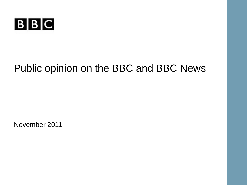

# Public opinion on the BBC and BBC News

November 2011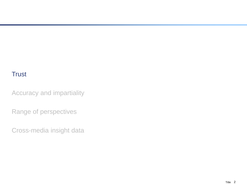Accuracy and impartiality

Range of perspectives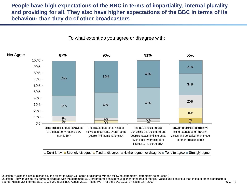**People have high expectations of the BBC in terms of impartiality, internal plurality and providing for all. They also have higher expectations of the BBC in terms of its behaviour than they do of other broadcasters** 



To what extent do you agree or disagree with:

 $\Box$  Don't know  $\Box$  Strongly disagree  $\Box$  Tend to disagree  $\Box$  Neither agree nor disagree  $\Box$  Tend to agree  $\Box$  Strongly agree

Question: \*Using this scale, please say the extent to which you agree or disagree with the following statements [statements as per chart]

Question: +How much do you agree or disagree with the statement 'BBC programmes should have higher standards of morality, values and behaviour than those of other broadcasters'

Source: \*Ipsos MORI for the BBC, 1,024 UK adults 15+, August 2010. +Ipsos MORI for the BBC, 2,206 UK adults 16+, 2009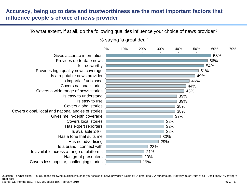# **Accuracy, being up to date and trustworthiness are the most important factors that influence people's choice of news provider**

To what extent, if at all, do the following qualities influence your choice of news provider?



% saying 'a great deal'

Title 4 Question: To what extent, if at all, do the following qualities influence your choice of news provider? Scale of: 'A great deal', 'A fair amount', 'Not very much', 'Not at all', 'Don't know'. % saying 'a great deal' Source: OLR for the BBC, 4,639 UK adults 18+, February 2010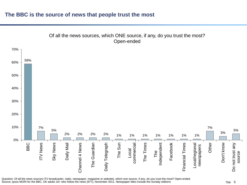#### **The BBC is the source of news that people trust the most**



Question: Of all the news sources (TV broadcaster, radio, newspaper, magazine or website), which one source, if any, do you trust the most? Open-ended Source; Ipsos MORI for the BBC, UK adults 16+ who follow the news (977), November 2011. Newspaper titles include the Sunday editions

#### Title 5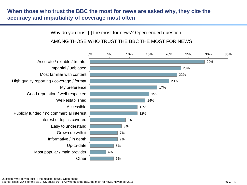# **When those who trust the BBC the most for news are asked why, they cite the accuracy and impartiality of coverage most often**

# Why do you trust [ ] the most for news? Open-ended question AMONG THOSE WHO TRUST THE BBC THE MOST FOR NEWS

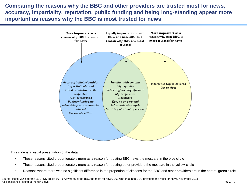**Comparing the reasons why the BBC and other providers are trusted most for news, accuracy, impartiality, reputation, public funding and being long-standing appear more important as reasons why the BBC is most trusted for news**



This slide is a visual presentation of the data:

- Those reasons cited proportionately more as a reason for trusting BBC news the most are in the blue circle
- Those reasons cited proportionately more as a reason for trusting other providers the most are in the yellow circle
- Reasons where there was no significant difference in the proportion of citations for the BBC and other providers are in the central green circle

Source: Ipsos MORI for the BBC, UK adults 16+, 572 who trust the BBC the most for news, 262 who trust non-BBC providers the most for news, November 2011 All significance testing at the 95% level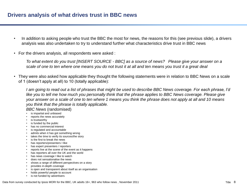- In addition to asking people who trust the BBC the most for news, the reasons for this (see previous slide), a drivers analysis was also undertaken to try to understand further what characteristics drive trust in BBC news
- For the drivers analysis, all respondents were asked :

*To what extent do you trust [INSERT SOURCE - BBC] as a source of news? Please give your answer on a scale of one to ten where one means you do not trust it at all and ten means you trust it a great deal*

• They were also asked how applicable they thought the following statements were in relation to BBC News on a scale of 1 (doesn't apply at all) to 10 (totally applicable):

*I am going to read out a list of phrases that might be used to describe BBC News coverage. For each phrase, I'd like you to tell me how much you personally think that the phrase applies to BBC News coverage. Please give your answer on a scale of one to ten where 1 means you think the phrase does not apply at all and 10 means you think that the phrase is totally applicable.* 

#### *BBC News* (randomised)

- is impartial and unbiased
- reports the news accurately
- is trustworthy
- is funded by the public
- has no commercial interest
- is regulated and accountable
- admits when it has got something wrong
- takes the time to verify its sources/the story
- is the first to break the news
- has reporters/presenters I like
- has expert presenters / reporters
- reports live at the scene of the event as it happens
- has reporters all over the UK and the world
- has news coverage I like to watch
- does not sensationalise the news
- shows a range of different perspectives on a story
- provides in-depth coverage
- is open and transparent about itself as an organisation
- holds powerful people to account
- is not funded by advertisers

Data from survey conducted by Ipsos MORI for the BBC, UK adults 16+, 963 who follow news , November 2011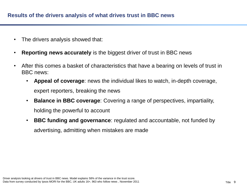- The drivers analysis showed that:
- **Reporting news accurately** is the biggest driver of trust in BBC news
- After this comes a basket of characteristics that have a bearing on levels of trust in BBC news:
	- **Appeal of coverage**: news the individual likes to watch, in-depth coverage, expert reporters, breaking the news
	- **Balance in BBC coverage**: Covering a range of perspectives, impartiality, holding the powerful to account
	- **BBC funding and governance**: regulated and accountable, not funded by advertising, admitting when mistakes are made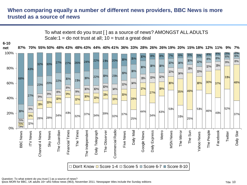# **When comparing equally a number of different news providers, BBC News is more trusted as a source of news**

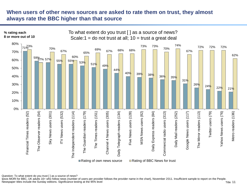# **When users of other news sources are asked to rate them on trust, they almost always rate the BBC higher than that source**



Question: To what extent do you trust [ ] as a source of news?

Ipsos MORI for BBC, UK adults 16+ who follow news (number of users per provider follows the provider name in the chart), November 2011. Insufficient sample to report on the People. Newspaper titles include the Sunday editions. Significance testing at the 95% level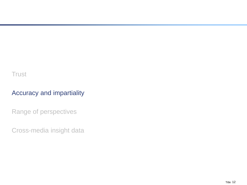# Accuracy and impartiality

Range of perspectives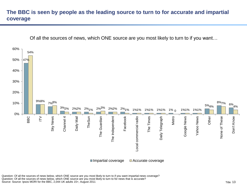# **The BBC is seen by people as the leading source to turn to for accurate and impartial coverage**



Question: Of all the sources of news below, which ONE source are you most likely to turn to if you want impartial news coverage? Question: Of all the sources of news below, which ONE source are you most likely to turn to for news that is accurate? Source: Source: Ipsos MORI for the BBC, 2,044 UK adults 15+, August 2011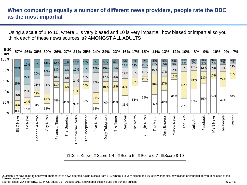## **When comparing equally a number of different news providers, people rate the BBC as the most impartial**

Using a scale of 1 to 10, where 1 is very biased and 10 is very impartial, how biased or impartial so you think each of these news sources is? AMONGST ALL ADULTS

**57% 46% 36% 30% 26% 27% 27% 25% 24% 24% 23% 16% 17% 15% 11% 13% 12% 10% 8% 9% 10% 9% 7% 6-10** 

| net  | VI 70           |            |           |          |                 |              |                                                              |                 |           |                 |            |            |           |             |            |               |                   |                   |                          |                   |                   |                   |           |
|------|-----------------|------------|-----------|----------|-----------------|--------------|--------------------------------------------------------------|-----------------|-----------|-----------------|------------|------------|-----------|-------------|------------|---------------|-------------------|-------------------|--------------------------|-------------------|-------------------|-------------------|-----------|
| 100% |                 | 19%        | 16%       | 14%      | 12%             | 11%          | 10%                                                          | 10%             | 9%        | 9%              | 8%         | 5%<br>11%  | 5%<br>11% | 5%<br>10%   | 4%<br>8%   | 4%<br>10%     | $\frac{4\%}{8\%}$ | $\frac{3\%}{6\%}$ | $\frac{3\%}{5\%}$<br>12% | $\frac{3\%}{6\%}$ | $\frac{3\%}{7\%}$ | $\frac{2\%}{7\%}$ | 3%<br>11% |
| 80%  | 32%             | 27%        | 20%       | 16%      | 13%<br>16%      | 16%          | 17%                                                          | 15%<br>16%      | 15%       | 15%<br>17%      | 15%<br>18% | 19%        | 18%       | 16%         | 15%        | 17%           | 14%<br>11%        | 13%               |                          | 13%<br>23%        | 13%<br>13%        | 13%               | 18%       |
| 60%  | 25%             |            | 21%       | 34%      | 11%             | 16%<br>16%   | 24%                                                          | 14%             | 37%       | 19%             | 18%        | 32%        | 15%       | 10%         | 38%        | 27%           |                   | 50%               | 35%                      |                   |                   | 29%               |           |
| 40%  | 19%             | 25%        | 12%       | 18%      |                 |              | 15%                                                          |                 | 21%       |                 |            |            | 51%       | 59%         |            |               | 63%               |                   |                          | 55%               | 64%               |                   | 64%       |
| 20%  | 16%<br>8%       | 14%<br>15% | 31%       | 18%      | 48%             | 41%          | 34%                                                          | 45%             | 18%       | 40%             | 41%        | 33%        |           |             | 35%        | 42%           |                   | 28%               | 45%                      |                   |                   | 49%               |           |
| 0%   |                 | ITV News   | News      | Sky News |                 |              |                                                              |                 |           |                 |            | Daily Mail |           |             |            |               |                   | The Sun           | Daily Star               | Facebook          |                   |                   | Twitter   |
|      | <b>BBC News</b> |            | Channel 4 |          | Financial Times | The Guardian | Commercial Radio                                             | The Independent | Five News | Daily Telegraph | The Times  |            | The Metro | Google News | The Mirror | Daily Express | Yahoo News        |                   |                          |                   | MSN News          | The People        |           |
|      |                 |            |           |          |                 |              | □ Don't Know ■ Score 1-4 ■ Score 5<br>■Score 6-7 ■Score 8-10 |                 |           |                 |            |            |           |             |            |               |                   |                   |                          |                   |                   |                   |           |

Question: I'm now going to show you another list of news sources. Using a scale from 1-10 where 1 is very biased and 10 is very impartial, how biased or impartial do you think each of the following news sources is?

Source: Ipsos MORI for BBC, 2,044 UK adults 15+, August 2011. Newspaper titles include the Sunday editions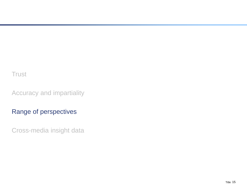Accuracy and impartiality

# Range of perspectives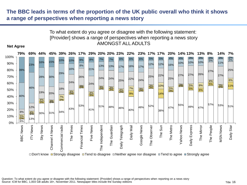## **The BBC leads in terms of the proportion of the UK public overall who think it shows a range of perspectives when reporting a news story**



□ Don't know ■ Strongly disagree ■ Tend to disagree ■ Neither agree nor disagree ■ Tend to agree ■ Strongly agree

Question: To what extent do you agree or disagree with the following statement: [Provider] shows a range of perspectives when reporting on a news story Source: ICM for BBC, 1,003 GB adults 18+, November 2011. Newspaper titles include the Sunday editions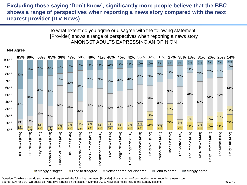## **Excluding those saying 'Don't know', significantly more people believe that the BBC shows a range of perspectives when reporting a news story compared with the next nearest provider (ITV News)**

To what extent do you agree or disagree with the following statement: [Provider] shows a range of perspectives when reporting a news story AMONGST ADULTS EXPRESSING AN OPINION



#### **Net Agree**

Question: To what extent do you agree or disagree with the following statement: [Provider] shows a range of perspectives when reporting a news story Source: ICM for BBC, GB adults 18+ who give a rating on the scale, November 2011. Newspaper titles include the Sunday editions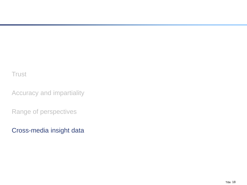Accuracy and impartiality

Range of perspectives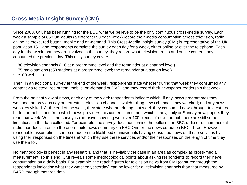Since 2008, GfK has been running for the BBC what we believe to be the only continuous cross-media survey. Each week a sample of 650 UK adults (a different 650 each week) record their media consumption across television, radio, online, teletext , red button, mobile and on-demand. This Cross-Media Insight survey (CMI) is representative of the UK population 16+, and respondents complete the survey each day for a week, either online or over the telephone. Each day for the week that they are involved in the survey, they record what television, radio and online content they consumed the previous day. This daily survey covers:

- 88 television channels ( 16 at a programme level and the remainder at a channel level)
- 75 radio stations (c50 stations at a programme level; the remainder at a station level)
- c100 websites.

Then, in an additional survey at the end of the week, respondents state whether during that week they consumed any content via teletext, red button, mobile, on-demand or DVD, and they record their newspaper readership that week**.** 

From the point of view of news, each day of the week respondents indicate which, if any, news programmes they watched the previous day on terrestrial television channels; which rolling news channels they watched; and any news websites visited. At the end of the week, they state whether during that week they consumed news through teletext, red button or mobile and from which news providers this content came; and which, if any, daily or Sunday newspapers they read that week. Whilst the survey is extensive, covering well over 100 pieces of news output, there are still some limitations in the data collected. For example, the survey does not itemise the bulletins on BBC radio or on commercial radio, nor does it itemise the one-minute news summary on BBC One or the news output on BBC Three. However, reasonable assumptions can be made on the likelihood of individuals having consumed news on these services by using their responses on the times at which they use these services and/or their responses on the length of time they use them for.

No methodology is perfect in any research, and that is inevitably the case in an area as complex as cross-media measurement. To this end, CMI reveals some methodological points about asking respondents to record their news consumption on a daily basis. For example, the reach figures for television news from CMI (captured through the respondents indicating what they watched yesterday) can be lower for all television channels than that measured by BARB through metered data.